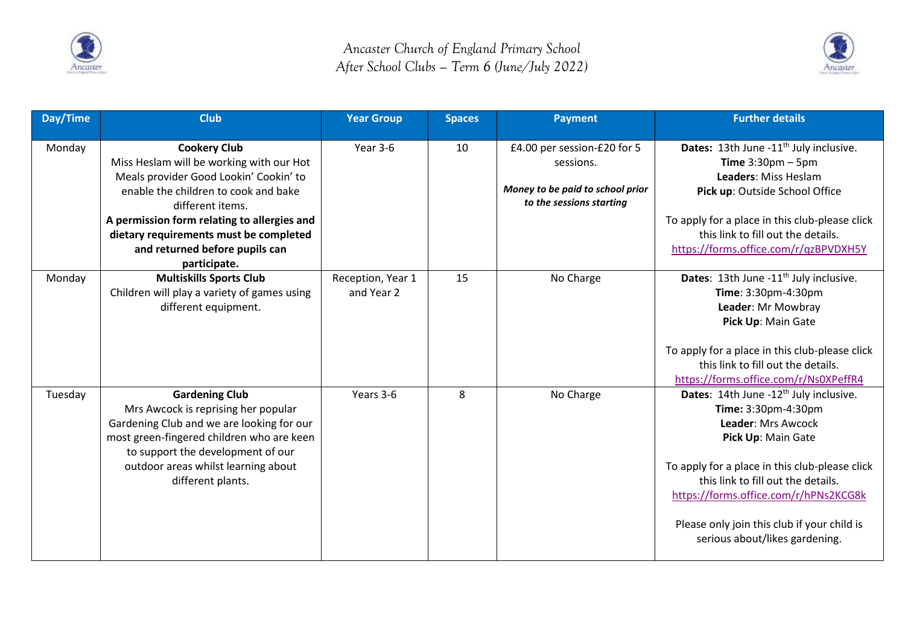



| Day/Time | <b>Club</b>                                                                                                                                                                                                                                                    | <b>Year Group</b>               | <b>Spaces</b> | <b>Payment</b>                                                                                           | <b>Further details</b>                                                                                                                                                                                                       |
|----------|----------------------------------------------------------------------------------------------------------------------------------------------------------------------------------------------------------------------------------------------------------------|---------------------------------|---------------|----------------------------------------------------------------------------------------------------------|------------------------------------------------------------------------------------------------------------------------------------------------------------------------------------------------------------------------------|
| Monday   | <b>Cookery Club</b><br>Miss Heslam will be working with our Hot<br>Meals provider Good Lookin' Cookin' to<br>enable the children to cook and bake<br>different items.<br>A permission form relating to allergies and<br>dietary requirements must be completed | Year 3-6                        | 10            | £4.00 per session-£20 for 5<br>sessions.<br>Money to be paid to school prior<br>to the sessions starting | Dates: 13th June -11 <sup>th</sup> July inclusive.<br>Time $3:30$ pm - 5pm<br>Leaders: Miss Heslam<br>Pick up: Outside School Office<br>To apply for a place in this club-please click<br>this link to fill out the details. |
|          | and returned before pupils can<br>participate.                                                                                                                                                                                                                 |                                 |               |                                                                                                          | https://forms.office.com/r/qzBPVDXH5Y                                                                                                                                                                                        |
| Monday   | <b>Multiskills Sports Club</b><br>Children will play a variety of games using<br>different equipment.                                                                                                                                                          | Reception, Year 1<br>and Year 2 | 15            | No Charge                                                                                                | Dates: 13th June -11 <sup>th</sup> July inclusive.<br>Time: 3:30pm-4:30pm<br>Leader: Mr Mowbray<br>Pick Up: Main Gate                                                                                                        |
|          |                                                                                                                                                                                                                                                                |                                 |               |                                                                                                          | To apply for a place in this club-please click<br>this link to fill out the details.<br>https://forms.office.com/r/Ns0XPeffR4                                                                                                |
| Tuesday  | <b>Gardening Club</b><br>Mrs Awcock is reprising her popular<br>Gardening Club and we are looking for our<br>most green-fingered children who are keen<br>to support the development of our<br>outdoor areas whilst learning about<br>different plants.        | Years 3-6                       | 8             | No Charge                                                                                                | Dates: 14th June -12 <sup>th</sup> July inclusive.<br>Time: 3:30pm-4:30pm<br>Leader: Mrs Awcock<br>Pick Up: Main Gate<br>To apply for a place in this club-please click<br>this link to fill out the details.                |
|          |                                                                                                                                                                                                                                                                |                                 |               |                                                                                                          | https://forms.office.com/r/hPNs2KCG8k<br>Please only join this club if your child is<br>serious about/likes gardening.                                                                                                       |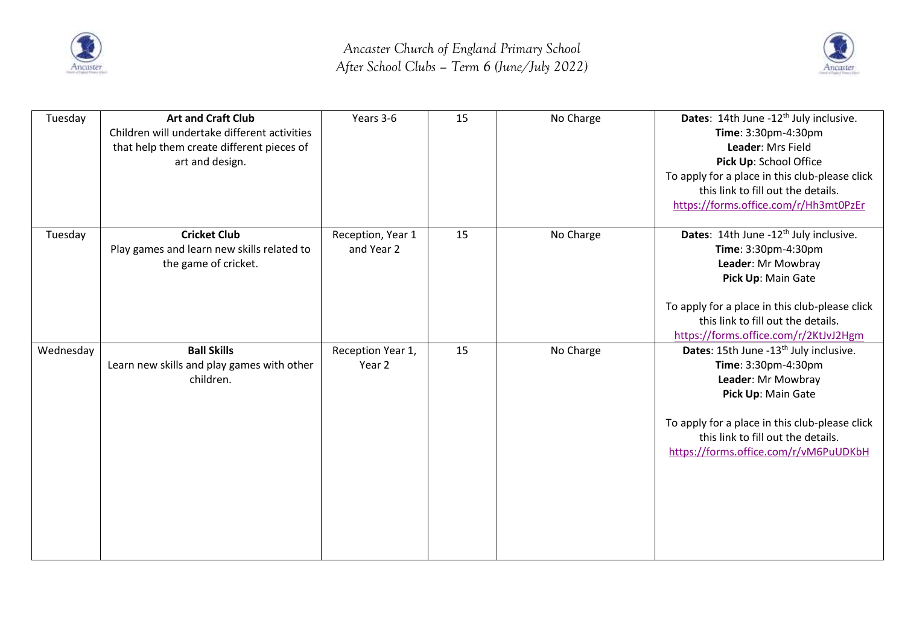



| Tuesday   | <b>Art and Craft Club</b><br>Children will undertake different activities<br>that help them create different pieces of<br>art and design. | Years 3-6                       | 15 | No Charge | Dates: 14th June -12 <sup>th</sup> July inclusive.<br>Time: 3:30pm-4:30pm<br>Leader: Mrs Field<br>Pick Up: School Office<br>To apply for a place in this club-please click<br>this link to fill out the details.<br>https://forms.office.com/r/Hh3mt0PzEr |
|-----------|-------------------------------------------------------------------------------------------------------------------------------------------|---------------------------------|----|-----------|-----------------------------------------------------------------------------------------------------------------------------------------------------------------------------------------------------------------------------------------------------------|
| Tuesday   | <b>Cricket Club</b><br>Play games and learn new skills related to<br>the game of cricket.                                                 | Reception, Year 1<br>and Year 2 | 15 | No Charge | Dates: 14th June -12 <sup>th</sup> July inclusive.<br>Time: 3:30pm-4:30pm<br>Leader: Mr Mowbray<br>Pick Up: Main Gate<br>To apply for a place in this club-please click<br>this link to fill out the details.<br>https://forms.office.com/r/2KtJvJ2Hgm    |
| Wednesday | <b>Ball Skills</b><br>Learn new skills and play games with other<br>children.                                                             | Reception Year 1,<br>Year 2     | 15 | No Charge | Dates: 15th June -13 <sup>th</sup> July inclusive.<br>Time: 3:30pm-4:30pm<br>Leader: Mr Mowbray<br>Pick Up: Main Gate<br>To apply for a place in this club-please click<br>this link to fill out the details.<br>https://forms.office.com/r/vM6PuUDKbH    |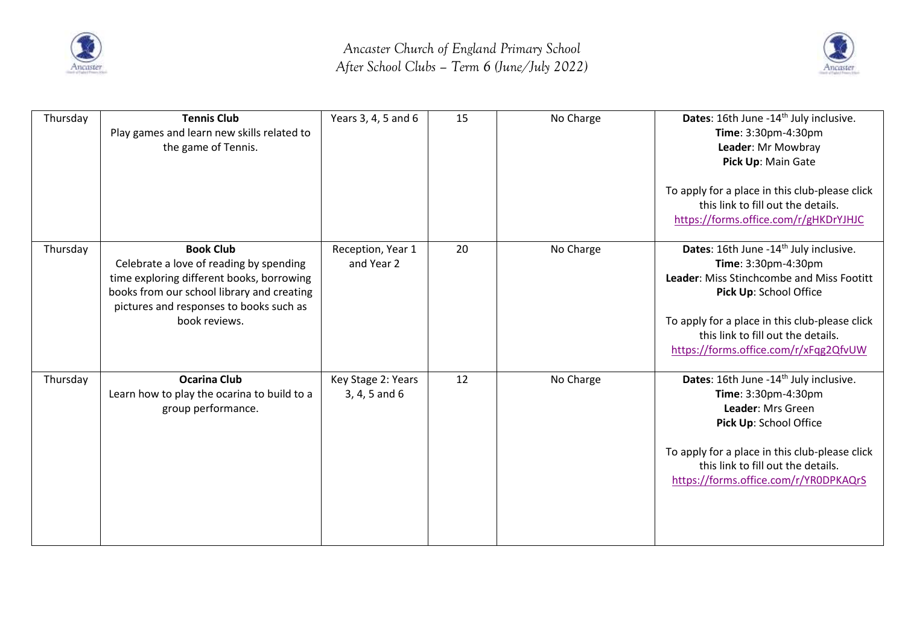



| Thursday | <b>Tennis Club</b><br>Play games and learn new skills related to<br>the game of Tennis.                                                                                                                            | Years 3, 4, 5 and 6                 | 15 | No Charge | Dates: 16th June -14 <sup>th</sup> July inclusive.<br>Time: 3:30pm-4:30pm<br>Leader: Mr Mowbray<br>Pick Up: Main Gate<br>To apply for a place in this club-please click<br>this link to fill out the details.<br>https://forms.office.com/r/gHKDrYJHJC                            |
|----------|--------------------------------------------------------------------------------------------------------------------------------------------------------------------------------------------------------------------|-------------------------------------|----|-----------|-----------------------------------------------------------------------------------------------------------------------------------------------------------------------------------------------------------------------------------------------------------------------------------|
| Thursday | <b>Book Club</b><br>Celebrate a love of reading by spending<br>time exploring different books, borrowing<br>books from our school library and creating<br>pictures and responses to books such as<br>book reviews. | Reception, Year 1<br>and Year 2     | 20 | No Charge | Dates: 16th June -14 <sup>th</sup> July inclusive.<br>Time: 3:30pm-4:30pm<br>Leader: Miss Stinchcombe and Miss Footitt<br>Pick Up: School Office<br>To apply for a place in this club-please click<br>this link to fill out the details.<br>https://forms.office.com/r/xFqg2QfvUW |
| Thursday | <b>Ocarina Club</b><br>Learn how to play the ocarina to build to a<br>group performance.                                                                                                                           | Key Stage 2: Years<br>3, 4, 5 and 6 | 12 | No Charge | Dates: 16th June -14 <sup>th</sup> July inclusive.<br>Time: 3:30pm-4:30pm<br>Leader: Mrs Green<br>Pick Up: School Office<br>To apply for a place in this club-please click<br>this link to fill out the details.<br>https://forms.office.com/r/YR0DPKAQrS                         |